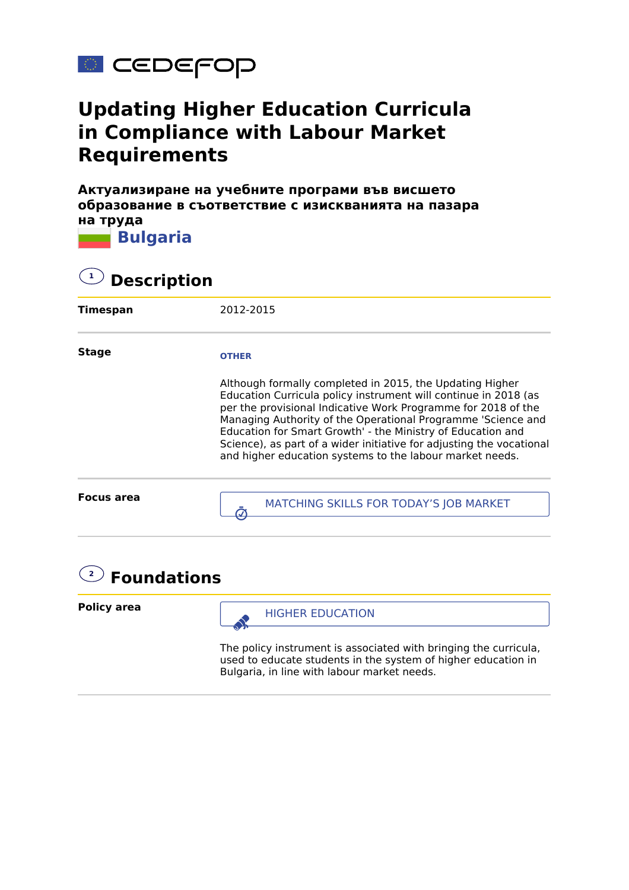

## **Updating Higher Education Curricula in Compliance with Labour Market Requirements**

**Актуализиране на учебните програми във висшето образование в съответствие с изискванията на пазара на труда**



**2 Foundations**

**Policy area**



The policy instrument is associated with bringing the curricula, used to educate students in the system of higher education in Bulgaria, in line with labour market needs.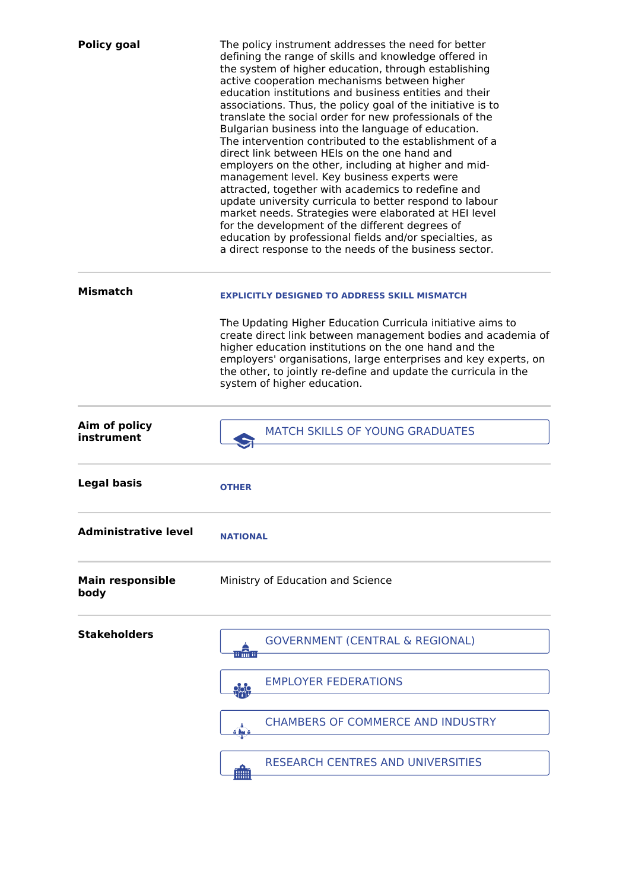| <b>Policy goal</b>              | The policy instrument addresses the need for better<br>defining the range of skills and knowledge offered in<br>the system of higher education, through establishing<br>active cooperation mechanisms between higher<br>education institutions and business entities and their<br>associations. Thus, the policy goal of the initiative is to<br>translate the social order for new professionals of the<br>Bulgarian business into the language of education.<br>The intervention contributed to the establishment of a<br>direct link between HEIs on the one hand and<br>employers on the other, including at higher and mid-<br>management level. Key business experts were<br>attracted, together with academics to redefine and<br>update university curricula to better respond to labour<br>market needs. Strategies were elaborated at HEI level<br>for the development of the different degrees of<br>education by professional fields and/or specialties, as<br>a direct response to the needs of the business sector. |
|---------------------------------|-----------------------------------------------------------------------------------------------------------------------------------------------------------------------------------------------------------------------------------------------------------------------------------------------------------------------------------------------------------------------------------------------------------------------------------------------------------------------------------------------------------------------------------------------------------------------------------------------------------------------------------------------------------------------------------------------------------------------------------------------------------------------------------------------------------------------------------------------------------------------------------------------------------------------------------------------------------------------------------------------------------------------------------|
| <b>Mismatch</b>                 | <b>EXPLICITLY DESIGNED TO ADDRESS SKILL MISMATCH</b>                                                                                                                                                                                                                                                                                                                                                                                                                                                                                                                                                                                                                                                                                                                                                                                                                                                                                                                                                                              |
|                                 | The Updating Higher Education Curricula initiative aims to<br>create direct link between management bodies and academia of<br>higher education institutions on the one hand and the<br>employers' organisations, large enterprises and key experts, on<br>the other, to jointly re-define and update the curricula in the<br>system of higher education.                                                                                                                                                                                                                                                                                                                                                                                                                                                                                                                                                                                                                                                                          |
| Aim of policy<br>instrument     | <b>MATCH SKILLS OF YOUNG GRADUATES</b>                                                                                                                                                                                                                                                                                                                                                                                                                                                                                                                                                                                                                                                                                                                                                                                                                                                                                                                                                                                            |
| <b>Legal basis</b>              | <b>OTHER</b>                                                                                                                                                                                                                                                                                                                                                                                                                                                                                                                                                                                                                                                                                                                                                                                                                                                                                                                                                                                                                      |
| <b>Administrative level</b>     | <b>NATIONAL</b>                                                                                                                                                                                                                                                                                                                                                                                                                                                                                                                                                                                                                                                                                                                                                                                                                                                                                                                                                                                                                   |
| <b>Main responsible</b><br>body | Ministry of Education and Science                                                                                                                                                                                                                                                                                                                                                                                                                                                                                                                                                                                                                                                                                                                                                                                                                                                                                                                                                                                                 |
| <b>Stakeholders</b>             | <b>GOVERNMENT (CENTRAL &amp; REGIONAL)</b><br>mân                                                                                                                                                                                                                                                                                                                                                                                                                                                                                                                                                                                                                                                                                                                                                                                                                                                                                                                                                                                 |
|                                 | <b>EMPLOYER FEDERATIONS</b><br><b>900</b>                                                                                                                                                                                                                                                                                                                                                                                                                                                                                                                                                                                                                                                                                                                                                                                                                                                                                                                                                                                         |
|                                 | <b>CHAMBERS OF COMMERCE AND INDUSTRY</b><br>فيسانه                                                                                                                                                                                                                                                                                                                                                                                                                                                                                                                                                                                                                                                                                                                                                                                                                                                                                                                                                                                |
|                                 | <b>RESEARCH CENTRES AND UNIVERSITIES</b><br>ĨHHĨ                                                                                                                                                                                                                                                                                                                                                                                                                                                                                                                                                                                                                                                                                                                                                                                                                                                                                                                                                                                  |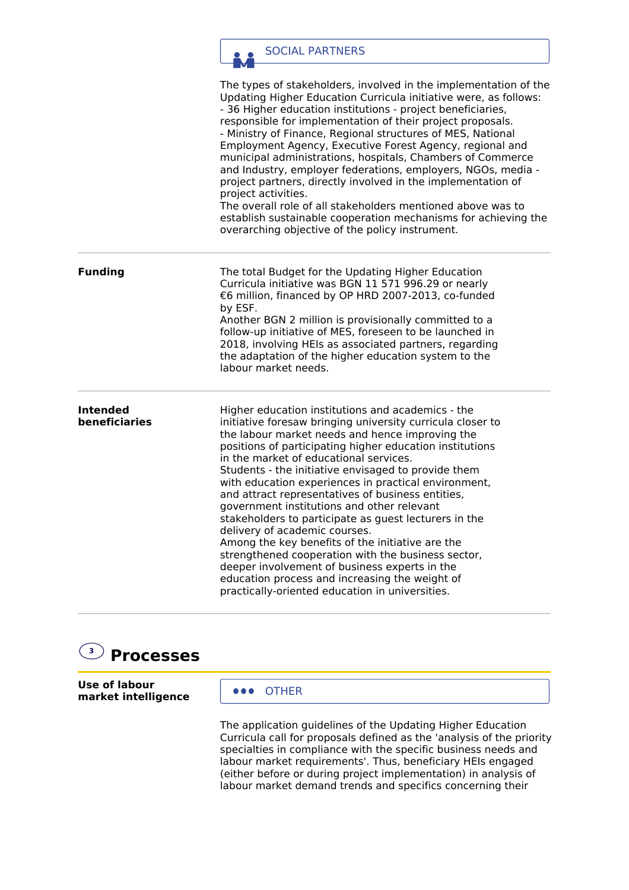

The types of stakeholders, involved in the implementation of the Updating Higher Education Curricula initiative were, as follows: - 36 Higher education institutions - project beneficiaries, responsible for implementation of their project proposals. - Ministry of Finance, Regional structures of MES, National Employment Agency, Executive Forest Agency, regional and municipal administrations, hospitals, Chambers of Commerce and Industry, employer federations, employers, NGOs, media project partners, directly involved in the implementation of project activities. The overall role of all stakeholders mentioned above was to establish sustainable cooperation mechanisms for achieving the overarching objective of the policy instrument.

**Funding** The total Budget for the Updating Higher Education Curricula initiative was BGN 11 571 996.29 or nearly €6 million, financed by OP HRD 2007-2013, co-funded by ESF. Another BGN 2 million is provisionally committed to a follow-up initiative of MES, foreseen to be launched in 2018, involving HEIs as associated partners, regarding the adaptation of the higher education system to the labour market needs.

**Intended beneficiaries** Higher education institutions and academics - the initiative foresaw bringing university curricula closer to the labour market needs and hence improving the positions of participating higher education institutions in the market of educational services. Students - the initiative envisaged to provide them with education experiences in practical environment, and attract representatives of business entities, government institutions and other relevant stakeholders to participate as guest lecturers in the delivery of academic courses. Among the key benefits of the initiative are the strengthened cooperation with the business sector, deeper involvement of business experts in the education process and increasing the weight of practically-oriented education in universities.

## **3 Processes**

**Use of labour market intelligence**

**OFFICE** 

The application guidelines of the Updating Higher Education Curricula call for proposals defined as the 'analysis of the priority specialties in compliance with the specific business needs and labour market requirements'. Thus, beneficiary HEIs engaged (either before or during project implementation) in analysis of labour market demand trends and specifics concerning their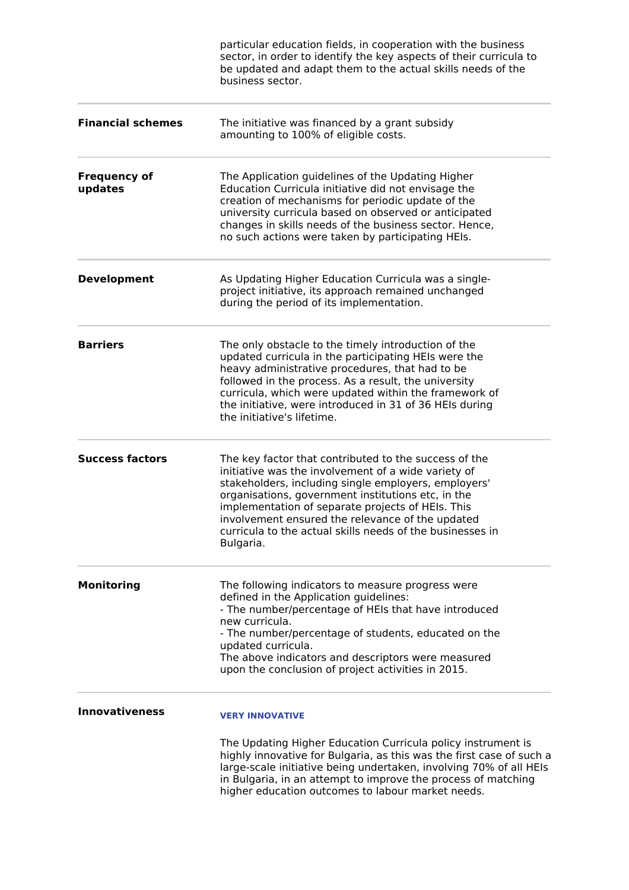|                                | particular education fields, in cooperation with the business<br>sector, in order to identify the key aspects of their curricula to<br>be updated and adapt them to the actual skills needs of the<br>business sector.                                                                                                                                                                                        |
|--------------------------------|---------------------------------------------------------------------------------------------------------------------------------------------------------------------------------------------------------------------------------------------------------------------------------------------------------------------------------------------------------------------------------------------------------------|
| <b>Financial schemes</b>       | The initiative was financed by a grant subsidy<br>amounting to 100% of eligible costs.                                                                                                                                                                                                                                                                                                                        |
| <b>Frequency of</b><br>updates | The Application guidelines of the Updating Higher<br>Education Curricula initiative did not envisage the<br>creation of mechanisms for periodic update of the<br>university curricula based on observed or anticipated<br>changes in skills needs of the business sector. Hence,<br>no such actions were taken by participating HEIs.                                                                         |
| <b>Development</b>             | As Updating Higher Education Curricula was a single-<br>project initiative, its approach remained unchanged<br>during the period of its implementation.                                                                                                                                                                                                                                                       |
| <b>Barriers</b>                | The only obstacle to the timely introduction of the<br>updated curricula in the participating HEIs were the<br>heavy administrative procedures, that had to be<br>followed in the process. As a result, the university<br>curricula, which were updated within the framework of<br>the initiative, were introduced in 31 of 36 HEIs during<br>the initiative's lifetime.                                      |
| <b>Success factors</b>         | The key factor that contributed to the success of the<br>initiative was the involvement of a wide variety of<br>stakeholders, including single employers, employers'<br>organisations, government institutions etc, in the<br>implementation of separate projects of HEIs. This<br>involvement ensured the relevance of the updated<br>curricula to the actual skills needs of the businesses in<br>Bulgaria. |
| <b>Monitoring</b>              | The following indicators to measure progress were<br>defined in the Application guidelines:<br>- The number/percentage of HEIs that have introduced<br>new curricula.<br>- The number/percentage of students, educated on the<br>updated curricula.<br>The above indicators and descriptors were measured<br>upon the conclusion of project activities in 2015.                                               |
| <b>Innovativeness</b>          | <b>VERY INNOVATIVE</b>                                                                                                                                                                                                                                                                                                                                                                                        |
|                                | The Updating Higher Education Curricula policy instrument is<br>highly innovative for Bulgaria, as this was the first case of such a<br>large-scale initiative being undertaken, involving 70% of all HEIs<br>in Bulgaria, in an attempt to improve the process of matching<br>higher education outcomes to labour market needs.                                                                              |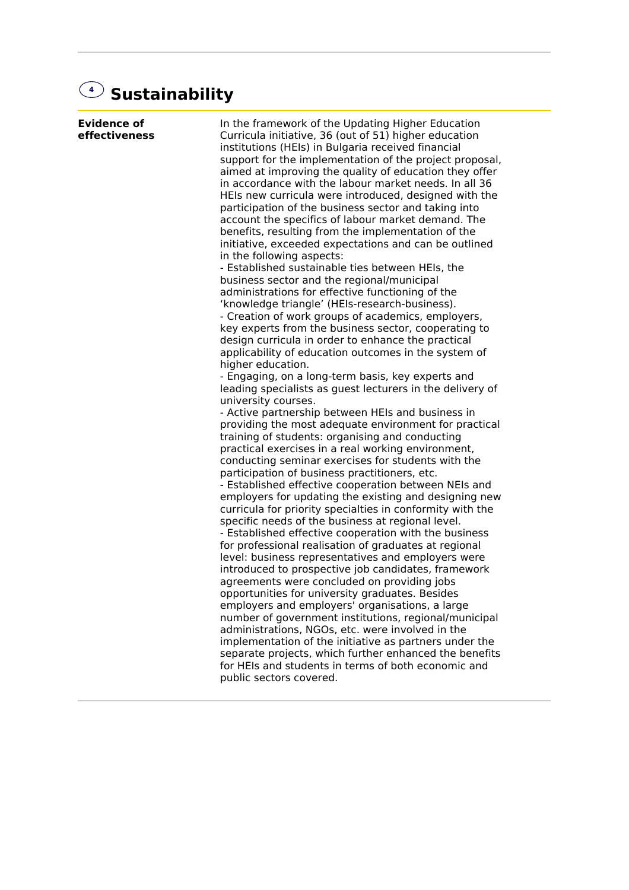## **4 Sustainability**

**Evidence of effectiveness** In the framework of the Updating Higher Education Curricula initiative, 36 (out of 51) higher education institutions (HEIs) in Bulgaria received financial support for the implementation of the project proposal, aimed at improving the quality of education they offer in accordance with the labour market needs. In all 36 HEIs new curricula were introduced, designed with the participation of the business sector and taking into account the specifics of labour market demand. The benefits, resulting from the implementation of the initiative, exceeded expectations and can be outlined in the following aspects: - Established sustainable ties between HEIs, the business sector and the regional/municipal administrations for effective functioning of the 'knowledge triangle' (HEIs-research-business). - Creation of work groups of academics, employers, key experts from the business sector, cooperating to design curricula in order to enhance the practical applicability of education outcomes in the system of higher education. - Engaging, on a long-term basis, key experts and leading specialists as guest lecturers in the delivery of university courses. - Active partnership between HEIs and business in providing the most adequate environment for practical training of students: organising and conducting practical exercises in a real working environment, conducting seminar exercises for students with the participation of business practitioners, etc. - Established effective cooperation between NEIs and employers for updating the existing and designing new curricula for priority specialties in conformity with the specific needs of the business at regional level. - Established effective cooperation with the business for professional realisation of graduates at regional level: business representatives and employers were introduced to prospective job candidates, framework agreements were concluded on providing jobs opportunities for university graduates. Besides employers and employers' organisations, a large number of government institutions, regional/municipal administrations, NGOs, etc. were involved in the implementation of the initiative as partners under the separate projects, which further enhanced the benefits for HEIs and students in terms of both economic and public sectors covered.